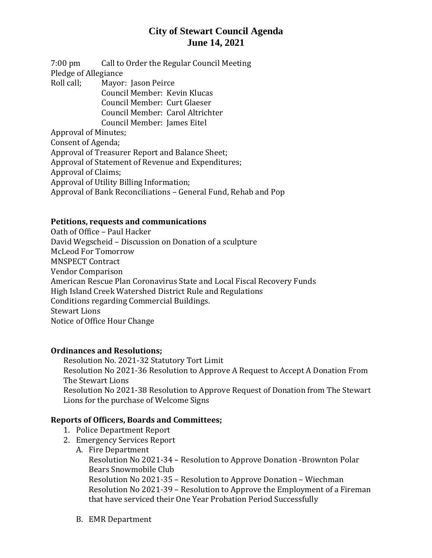## **City of Stewart Council Agenda June 14, 2021**

7:00 pm Call to Order the Regular Council Meeting Pledge of Allegiance Roll call; Mayor: Jason Peirce

Council Member: Kevin Klucas Council Member: Curt Glaeser Council Member: Carol Altrichter Council Member: James Eitel

Approval of Minutes;

Consent of Agenda; Approval of Treasurer Report and Balance Sheet; Approval of Statement of Revenue and Expenditures; Approval of Claims;

Approval of Utility Billing Information;

Approval of Bank Reconciliations – General Fund, Rehab and Pop

#### **Petitions, requests and communications**

Oath of Office – Paul Hacker David Wegscheid – Discussion on Donation of a sculpture McLeod For Tomorrow MNSPECT Contract Vendor Comparison American Rescue Plan Coronavirus State and Local Fiscal Recovery Funds High Island Creek Watershed District Rule and Regulations Conditions regarding Commercial Buildings. Stewart Lions Notice of Office Hour Change

#### **Ordinances and Resolutions;**

Resolution No. 2021-32 Statutory Tort Limit Resolution No 2021-36 Resolution to Approve A Request to Accept A Donation From The Stewart Lions Resolution No 2021-38 Resolution to Approve Request of Donation from The Stewart Lions for the purchase of Welcome Signs

### **Reports of Officers, Boards and Committees;**

- 1. Police Department Report
- 2. Emergency Services Report
	- A. Fire Department Resolution No 2021-34 – Resolution to Approve Donation -Brownton Polar Bears Snowmobile Club Resolution No 2021-35 – Resolution to Approve Donation – Wiechman Resolution No 2021-39 – Resolution to Approve the Employment of a Fireman that have serviced their One Year Probation Period Successfully
	- B. EMR Department